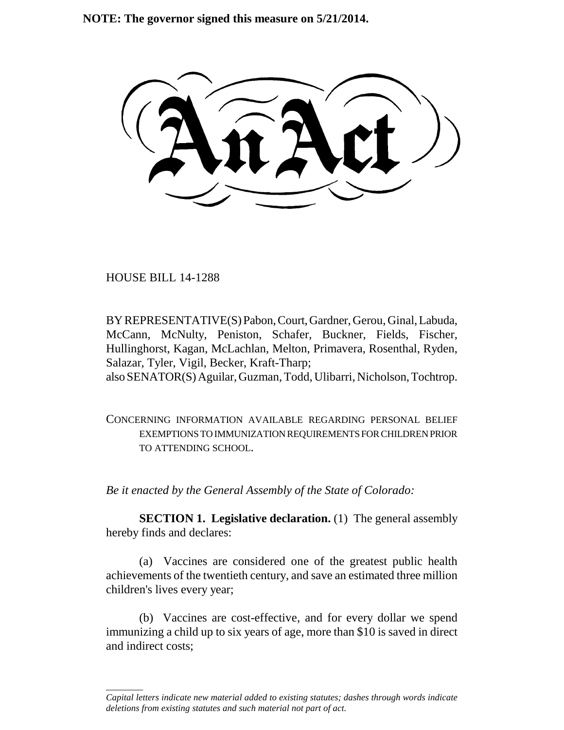**NOTE: The governor signed this measure on 5/21/2014.**

HOUSE BILL 14-1288

\_\_\_\_\_\_\_\_

BY REPRESENTATIVE(S) Pabon, Court, Gardner, Gerou, Ginal, Labuda, McCann, McNulty, Peniston, Schafer, Buckner, Fields, Fischer, Hullinghorst, Kagan, McLachlan, Melton, Primavera, Rosenthal, Ryden, Salazar, Tyler, Vigil, Becker, Kraft-Tharp; also SENATOR(S) Aguilar, Guzman, Todd, Ulibarri, Nicholson, Tochtrop.

CONCERNING INFORMATION AVAILABLE REGARDING PERSONAL BELIEF EXEMPTIONS TO IMMUNIZATION REQUIREMENTS FOR CHILDREN PRIOR TO ATTENDING SCHOOL.

*Be it enacted by the General Assembly of the State of Colorado:*

**SECTION 1. Legislative declaration.** (1) The general assembly hereby finds and declares:

(a) Vaccines are considered one of the greatest public health achievements of the twentieth century, and save an estimated three million children's lives every year;

(b) Vaccines are cost-effective, and for every dollar we spend immunizing a child up to six years of age, more than \$10 is saved in direct and indirect costs;

*Capital letters indicate new material added to existing statutes; dashes through words indicate deletions from existing statutes and such material not part of act.*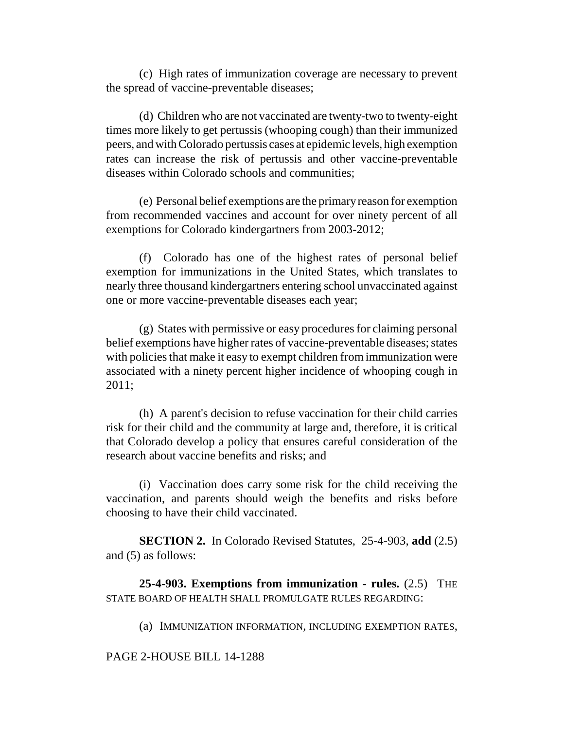(c) High rates of immunization coverage are necessary to prevent the spread of vaccine-preventable diseases;

(d) Children who are not vaccinated are twenty-two to twenty-eight times more likely to get pertussis (whooping cough) than their immunized peers, and with Colorado pertussis cases at epidemic levels, high exemption rates can increase the risk of pertussis and other vaccine-preventable diseases within Colorado schools and communities;

(e) Personal belief exemptions are the primary reason for exemption from recommended vaccines and account for over ninety percent of all exemptions for Colorado kindergartners from 2003-2012;

(f) Colorado has one of the highest rates of personal belief exemption for immunizations in the United States, which translates to nearly three thousand kindergartners entering school unvaccinated against one or more vaccine-preventable diseases each year;

(g) States with permissive or easy procedures for claiming personal belief exemptions have higher rates of vaccine-preventable diseases; states with policies that make it easy to exempt children from immunization were associated with a ninety percent higher incidence of whooping cough in 2011;

(h) A parent's decision to refuse vaccination for their child carries risk for their child and the community at large and, therefore, it is critical that Colorado develop a policy that ensures careful consideration of the research about vaccine benefits and risks; and

(i) Vaccination does carry some risk for the child receiving the vaccination, and parents should weigh the benefits and risks before choosing to have their child vaccinated.

**SECTION 2.** In Colorado Revised Statutes, 25-4-903, **add** (2.5) and (5) as follows:

**25-4-903. Exemptions from immunization - rules.** (2.5) THE STATE BOARD OF HEALTH SHALL PROMULGATE RULES REGARDING:

(a) IMMUNIZATION INFORMATION, INCLUDING EXEMPTION RATES,

## PAGE 2-HOUSE BILL 14-1288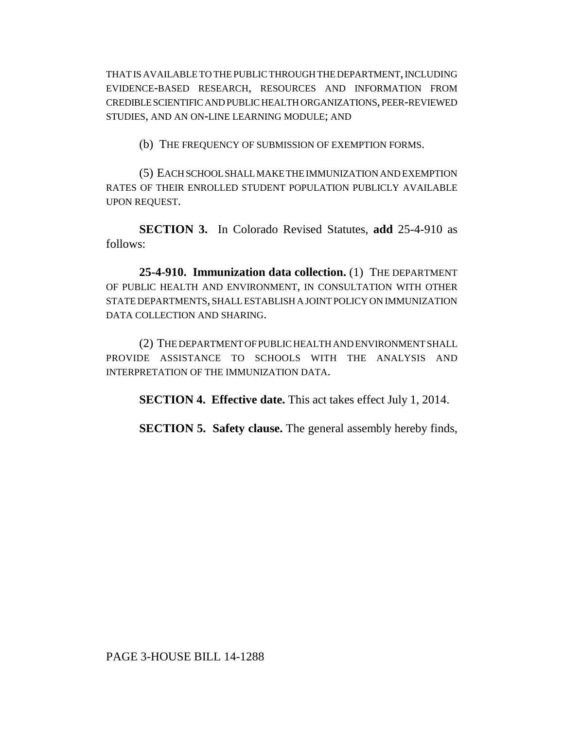THAT IS AVAILABLE TO THE PUBLIC THROUGH THE DEPARTMENT, INCLUDING EVIDENCE-BASED RESEARCH, RESOURCES AND INFORMATION FROM CREDIBLE SCIENTIFIC AND PUBLIC HEALTH ORGANIZATIONS, PEER-REVIEWED STUDIES, AND AN ON-LINE LEARNING MODULE; AND

(b) THE FREQUENCY OF SUBMISSION OF EXEMPTION FORMS.

(5) EACH SCHOOL SHALL MAKE THE IMMUNIZATION AND EXEMPTION RATES OF THEIR ENROLLED STUDENT POPULATION PUBLICLY AVAILABLE UPON REQUEST.

**SECTION 3.** In Colorado Revised Statutes, **add** 25-4-910 as follows:

**25-4-910. Immunization data collection.** (1) THE DEPARTMENT OF PUBLIC HEALTH AND ENVIRONMENT, IN CONSULTATION WITH OTHER STATE DEPARTMENTS, SHALL ESTABLISH A JOINT POLICY ON IMMUNIZATION DATA COLLECTION AND SHARING.

(2) THE DEPARTMENT OF PUBLIC HEALTH AND ENVIRONMENT SHALL PROVIDE ASSISTANCE TO SCHOOLS WITH THE ANALYSIS AND INTERPRETATION OF THE IMMUNIZATION DATA.

**SECTION 4. Effective date.** This act takes effect July 1, 2014.

**SECTION 5. Safety clause.** The general assembly hereby finds,